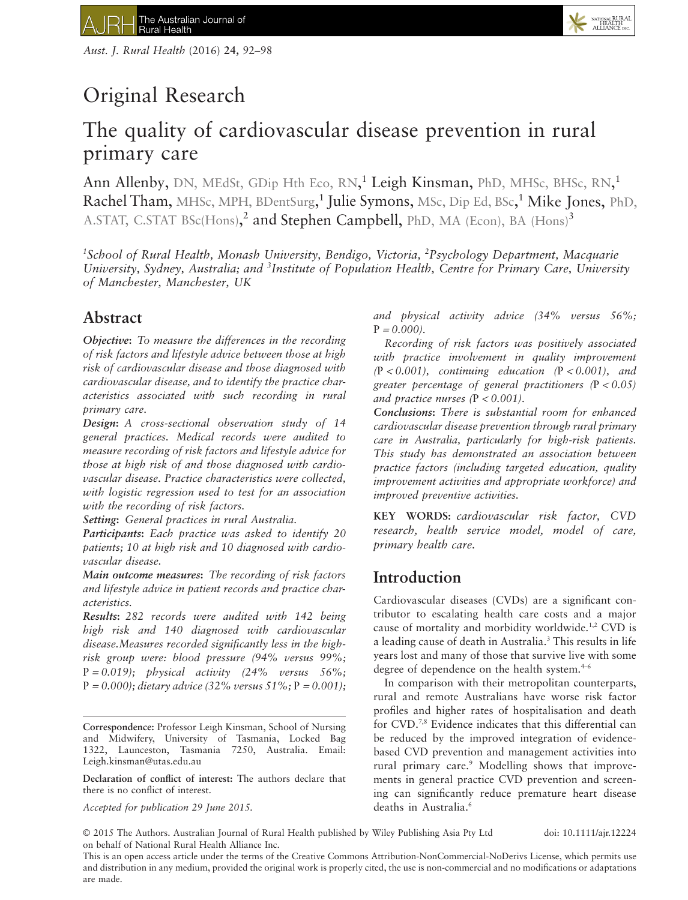Aust. J. Rural Health (2016) 24, 92–98

# Original Research

# The quality of cardiovascular disease prevention in rural primary care

Ann Allenby, DN, MEdSt, GDip Hth Eco, RN, $^1$  Leigh Kinsman, PhD, MHSc, BHSc, RN, $^1$ Rachel Tham, MHSc, MPH, BDentSurg, <sup>1</sup> Julie Symons, MSc, Dip Ed, BSc, <sup>1</sup> Mike Jones, PhD, A.STAT, C.STAT BSc(Hons),<sup>2</sup> and Stephen Campbell, PhD, MA (Econ), BA (Hons)<sup>3</sup>

*1 School of Rural Health, Monash University, Bendigo, Victoria, <sup>2</sup> Psychology Department, Macquarie* University, Sydney, Australia; and <sup>3</sup>Institute of Population Health, Centre for Primary Care, University *of Manchester, Manchester, UK*

# **Abstract**

*Objective***:** *To measure the differences in the recording of risk factors and lifestyle advice between those at high risk of cardiovascular disease and those diagnosed with cardiovascular disease, and to identify the practice characteristics associated with such recording in rural primary care.*

*Design***:** *A cross-sectional observation study of 14 general practices. Medical records were audited to measure recording of risk factors and lifestyle advice for those at high risk of and those diagnosed with cardiovascular disease. Practice characteristics were collected, with logistic regression used to test for an association with the recording of risk factors.*

*Setting***:** *General practices in rural Australia.*

*Participants***:** *Each practice was asked to identify 20 patients; 10 at high risk and 10 diagnosed with cardiovascular disease.*

*Main outcome measures***:** *The recording of risk factors and lifestyle advice in patient records and practice characteristics.*

*Results***:** *282 records were audited with 142 being high risk and 140 diagnosed with cardiovascular disease.Measures recorded significantly less in the highrisk group were: blood pressure (94% versus 99%;* P *= 0.019); physical activity (24% versus 56%;* P *= 0.000); dietary advice (32% versus 51%;* P *= 0.001);*

**Declaration of conflict of interest:** The authors declare that there is no conflict of interest.

*Accepted for publication 29 June 2015.*

*and physical activity advice (34% versus 56%;*  $P = 0.000$ .

*Recording of risk factors was positively associated with practice involvement in quality improvement (*P *< 0.001), continuing education (*P *< 0.001), and greater percentage of general practitioners (*P *< 0.05) and practice nurses*  $(P < 0.001)$ .

*Conclusions***:** *There is substantial room for enhanced cardiovascular disease prevention through rural primary care in Australia, particularly for high-risk patients. This study has demonstrated an association between practice factors (including targeted education, quality improvement activities and appropriate workforce) and improved preventive activities.*

**KEY WORDS:** *cardiovascular risk factor, CVD research, health service model, model of care, primary health care.*

# **Introduction**

Cardiovascular diseases (CVDs) are a significant contributor to escalating health care costs and a major cause of mortality and morbidity worldwide.<sup>1,2</sup> CVD is a leading cause of death in Australia.3 This results in life years lost and many of those that survive live with some degree of dependence on the health system.<sup>4-6</sup>

In comparison with their metropolitan counterparts, rural and remote Australians have worse risk factor profiles and higher rates of hospitalisation and death for CVD.7,8 Evidence indicates that this differential can be reduced by the improved integration of evidencebased CVD prevention and management activities into rural primary care.<sup>9</sup> Modelling shows that improvements in general practice CVD prevention and screening can significantly reduce premature heart disease deaths in Australia.<sup>6</sup>

doi: 10.1111/ajr.12224

This is an open access article under the terms of the Creative Commons Attribution-NonCommercial-NoDerivs License, which permits use and distribution in any medium, provided the original work is properly cited, the use is non-commercial and no modifications or adaptations are made.

**Correspondence:** Professor Leigh Kinsman, School of Nursing and Midwifery, University of Tasmania, Locked Bag 1322, Launceston, Tasmania 7250, Australia. Email: Leigh.kinsman@utas.edu.au

<sup>© 2015</sup> The Authors. Australian Journal of Rural Health published by Wiley Publishing Asia Pty Ltd on behalf of National Rural Health Alliance Inc.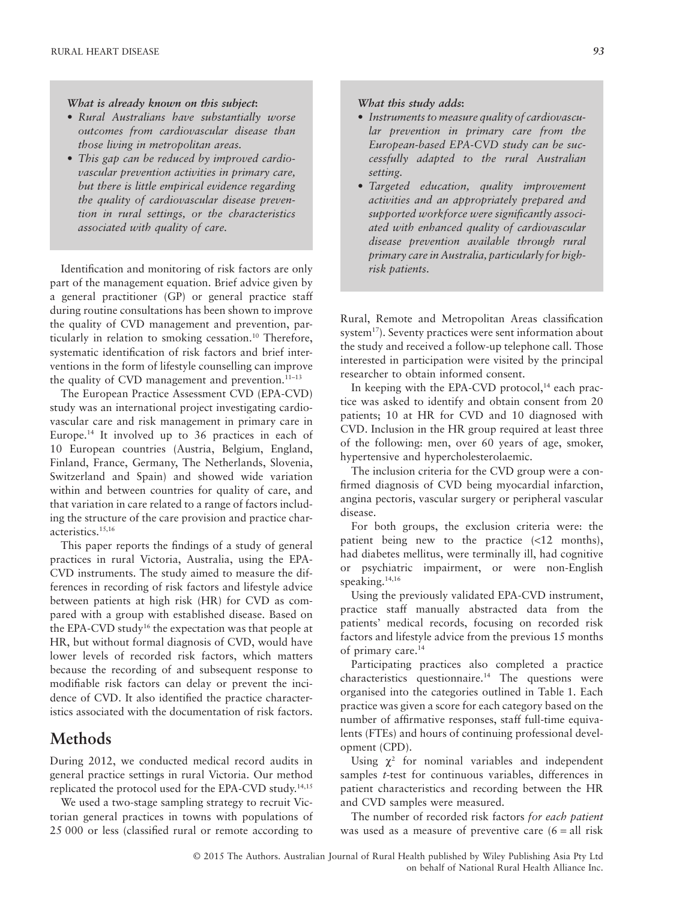- *Rural Australians have substantially worse outcomes from cardiovascular disease than those living in metropolitan areas.*
- *This gap can be reduced by improved cardiovascular prevention activities in primary care, but there is little empirical evidence regarding the quality of cardiovascular disease prevention in rural settings, or the characteristics associated with quality of care.*

Identification and monitoring of risk factors are only part of the management equation. Brief advice given by a general practitioner (GP) or general practice staff during routine consultations has been shown to improve the quality of CVD management and prevention, particularly in relation to smoking cessation.<sup>10</sup> Therefore, systematic identification of risk factors and brief interventions in the form of lifestyle counselling can improve the quality of CVD management and prevention. $11-13$ 

The European Practice Assessment CVD (EPA-CVD) study was an international project investigating cardiovascular care and risk management in primary care in Europe.<sup>14</sup> It involved up to 36 practices in each of 10 European countries (Austria, Belgium, England, Finland, France, Germany, The Netherlands, Slovenia, Switzerland and Spain) and showed wide variation within and between countries for quality of care, and that variation in care related to a range of factors including the structure of the care provision and practice characteristics.15,16

This paper reports the findings of a study of general practices in rural Victoria, Australia, using the EPA-CVD instruments. The study aimed to measure the differences in recording of risk factors and lifestyle advice between patients at high risk (HR) for CVD as compared with a group with established disease. Based on the EPA-CVD study<sup>16</sup> the expectation was that people at HR, but without formal diagnosis of CVD, would have lower levels of recorded risk factors, which matters because the recording of and subsequent response to modifiable risk factors can delay or prevent the incidence of CVD. It also identified the practice characteristics associated with the documentation of risk factors.

# **Methods**

During 2012, we conducted medical record audits in general practice settings in rural Victoria. Our method replicated the protocol used for the EPA-CVD study.14,15

We used a two-stage sampling strategy to recruit Victorian general practices in towns with populations of 25 000 or less (classified rural or remote according to

#### *What this study adds***:**

- *Instruments to measure quality of cardiovascular prevention in primary care from the European-based EPA-CVD study can be successfully adapted to the rural Australian setting.*
- *Targeted education, quality improvement activities and an appropriately prepared and supported workforce were significantly associated with enhanced quality of cardiovascular disease prevention available through rural primary care in Australia, particularly for highrisk patients.*

Rural, Remote and Metropolitan Areas classification system<sup>17</sup>). Seventy practices were sent information about the study and received a follow-up telephone call. Those interested in participation were visited by the principal researcher to obtain informed consent.

In keeping with the EPA-CVD protocol, $14$  each practice was asked to identify and obtain consent from 20 patients; 10 at HR for CVD and 10 diagnosed with CVD. Inclusion in the HR group required at least three of the following: men, over 60 years of age, smoker, hypertensive and hypercholesterolaemic.

The inclusion criteria for the CVD group were a confirmed diagnosis of CVD being myocardial infarction, angina pectoris, vascular surgery or peripheral vascular disease.

For both groups, the exclusion criteria were: the patient being new to the practice (<12 months), had diabetes mellitus, were terminally ill, had cognitive or psychiatric impairment, or were non-English speaking.<sup>14,16</sup>

Using the previously validated EPA-CVD instrument, practice staff manually abstracted data from the patients' medical records, focusing on recorded risk factors and lifestyle advice from the previous 15 months of primary care.<sup>14</sup>

Participating practices also completed a practice characteristics questionnaire.14 The questions were organised into the categories outlined in Table 1. Each practice was given a score for each category based on the number of affirmative responses, staff full-time equivalents (FTEs) and hours of continuing professional development (CPD).

Using  $\chi^2$  for nominal variables and independent samples *t*-test for continuous variables, differences in patient characteristics and recording between the HR and CVD samples were measured.

The number of recorded risk factors *for each patient* was used as a measure of preventive care  $(6 = all risk)$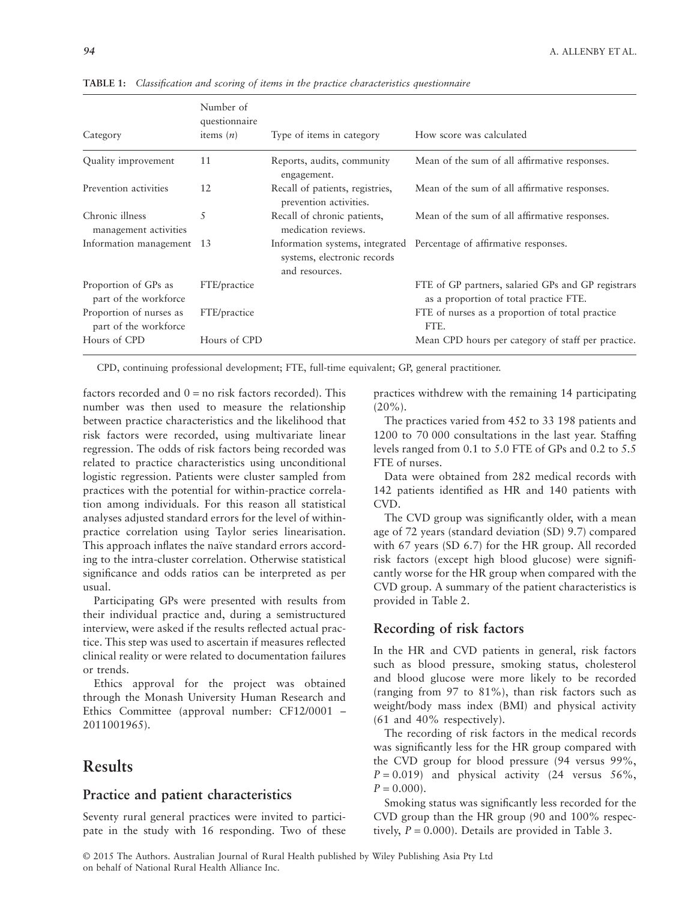| Category                                         | Number of<br>questionnaire<br>items $(n)$ | Type of items in category                                 | How score was calculated                                                                     |
|--------------------------------------------------|-------------------------------------------|-----------------------------------------------------------|----------------------------------------------------------------------------------------------|
| Quality improvement                              | 11                                        | Reports, audits, community<br>engagement.                 | Mean of the sum of all affirmative responses.                                                |
| Prevention activities                            | 12                                        | Recall of patients, registries,<br>prevention activities. | Mean of the sum of all affirmative responses.                                                |
| Chronic illness<br>management activities         | 5                                         | Recall of chronic patients,<br>medication reviews.        | Mean of the sum of all affirmative responses.                                                |
| Information management 13                        |                                           | systems, electronic records<br>and resources.             | Information systems, integrated Percentage of affirmative responses.                         |
| Proportion of GPs as<br>part of the workforce    | FTE/practice                              |                                                           | FTE of GP partners, salaried GPs and GP registrars<br>as a proportion of total practice FTE. |
| Proportion of nurses as<br>part of the workforce | FTE/practice                              |                                                           | FTE of nurses as a proportion of total practice<br>FTE.                                      |
| Hours of CPD                                     | Hours of CPD                              |                                                           | Mean CPD hours per category of staff per practice.                                           |

**TABLE 1:** *Classification and scoring of items in the practice characteristics questionnaire*

CPD, continuing professional development; FTE, full-time equivalent; GP, general practitioner.

factors recorded and  $0 =$  no risk factors recorded). This number was then used to measure the relationship between practice characteristics and the likelihood that risk factors were recorded, using multivariate linear regression. The odds of risk factors being recorded was related to practice characteristics using unconditional logistic regression. Patients were cluster sampled from practices with the potential for within-practice correlation among individuals. For this reason all statistical analyses adjusted standard errors for the level of withinpractice correlation using Taylor series linearisation. This approach inflates the naïve standard errors according to the intra-cluster correlation. Otherwise statistical significance and odds ratios can be interpreted as per usual.

Participating GPs were presented with results from their individual practice and, during a semistructured interview, were asked if the results reflected actual practice. This step was used to ascertain if measures reflected clinical reality or were related to documentation failures or trends.

Ethics approval for the project was obtained through the Monash University Human Research and Ethics Committee (approval number: CF12/0001 – 2011001965).

# **Results**

#### **Practice and patient characteristics**

Seventy rural general practices were invited to participate in the study with 16 responding. Two of these practices withdrew with the remaining 14 participating  $(20\%)$ .

The practices varied from 452 to 33 198 patients and 1200 to 70 000 consultations in the last year. Staffing levels ranged from 0.1 to 5.0 FTE of GPs and 0.2 to 5.5 FTE of nurses.

Data were obtained from 282 medical records with 142 patients identified as HR and 140 patients with CVD.

The CVD group was significantly older, with a mean age of 72 years (standard deviation (SD) 9.7) compared with 67 years (SD 6.7) for the HR group. All recorded risk factors (except high blood glucose) were significantly worse for the HR group when compared with the CVD group. A summary of the patient characteristics is provided in Table 2.

#### **Recording of risk factors**

In the HR and CVD patients in general, risk factors such as blood pressure, smoking status, cholesterol and blood glucose were more likely to be recorded (ranging from 97 to 81%), than risk factors such as weight/body mass index (BMI) and physical activity (61 and 40% respectively).

The recording of risk factors in the medical records was significantly less for the HR group compared with the CVD group for blood pressure (94 versus 99%,  $P = 0.019$ ) and physical activity (24 versus 56%,  $P = 0.000$ .

Smoking status was significantly less recorded for the CVD group than the HR group (90 and 100% respectively,  $P = 0.000$ ). Details are provided in Table 3.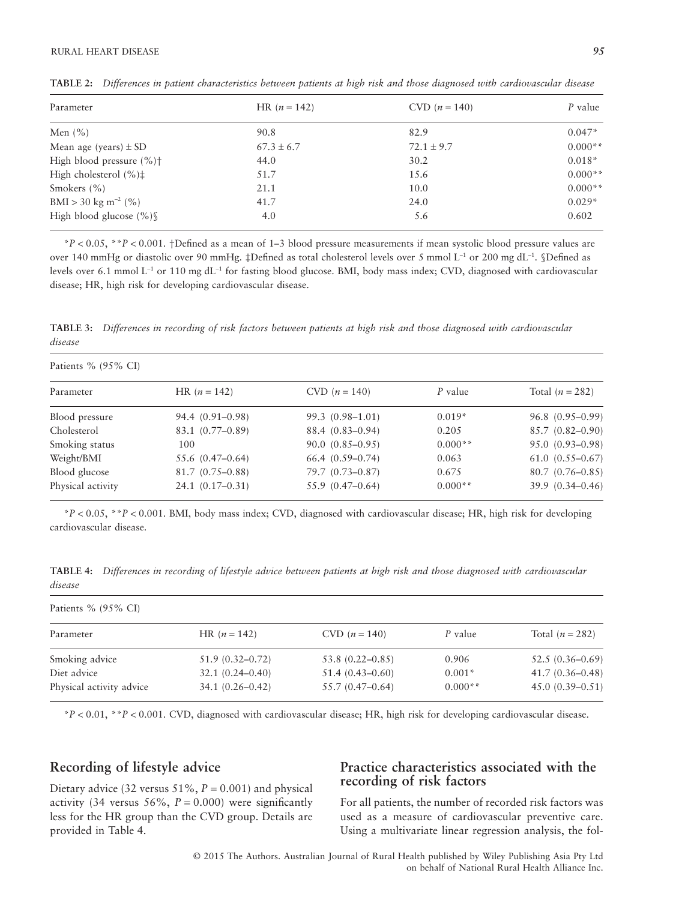#### RURAL HEART DISEASE 95

| Parameter                                                 | HR $(n = 142)$ | CVD $(n = 140)$ | P value   |
|-----------------------------------------------------------|----------------|-----------------|-----------|
| Men $(\% )$                                               | 90.8           | 82.9            | $0.047*$  |
| Mean age (years) $\pm$ SD                                 | $67.3 \pm 6.7$ | $72.1 \pm 9.7$  | $0.000**$ |
| High blood pressure $(\% )\dagger$                        | 44.0           | 30.2            | $0.018*$  |
| High cholesterol $(\% )$ <sup><math>\ddagger</math></sup> | 51.7           | 15.6            | $0.000**$ |
| Smokers $(\% )$                                           | 21.1           | 10.0            | $0.000**$ |
| BMI > 30 kg m <sup>-2</sup> (%)                           | 41.7           | 24.0            | $0.029*$  |
| High blood glucose $(\% )$                                | 4.0            | 5.6             | 0.602     |
|                                                           |                |                 |           |

**TABLE 2:** *Differences in patient characteristics between patients at high risk and those diagnosed with cardiovascular disease*

\**P* < 0.05, \*\**P* < 0.001. †Defined as a mean of 1–3 blood pressure measurements if mean systolic blood pressure values are over 140 mmHg or diastolic over 90 mmHg. ‡Defined as total cholesterol levels over 5 mmol L<sup>−</sup><sup>1</sup> or 200 mg dL<sup>−</sup><sup>1</sup> . §Defined as levels over 6.1 mmol L<sup>−</sup><sup>1</sup> or 110 mg dL<sup>−</sup><sup>1</sup> for fasting blood glucose. BMI, body mass index; CVD, diagnosed with cardiovascular disease; HR, high risk for developing cardiovascular disease.

**TABLE 3:** *Differences in recording of risk factors between patients at high risk and those diagnosed with cardiovascular disease*

| Patients % (95% CI) |                      |                   |           |                      |  |
|---------------------|----------------------|-------------------|-----------|----------------------|--|
| Parameter           | HR $(n = 142)$       | CVD $(n = 140)$   | P value   | Total $(n = 282)$    |  |
| Blood pressure      | $94.4(0.91 - 0.98)$  | $99.3(0.98-1.01)$ | $0.019*$  | $96.8(0.95-0.99)$    |  |
| Cholesterol         | 83.1 (0.77-0.89)     | 88.4 (0.83-0.94)  | 0.205     | $85.7(0.82 - 0.90)$  |  |
| Smoking status      | 100                  | $90.0(0.85-0.95)$ | $0.000**$ | $95.0(0.93 - 0.98)$  |  |
| Weight/BMI          | $55.6$ $(0.47-0.64)$ | $66.4(0.59-0.74)$ | 0.063     | $61.0 (0.55 - 0.67)$ |  |
| Blood glucose       | $81.7(0.75-0.88)$    | 79.7 (0.73-0.87)  | 0.675     | $80.7(0.76 - 0.85)$  |  |
| Physical activity   | $24.1(0.17-0.31)$    | $55.9(0.47-0.64)$ | $0.000**$ | 39.9 (0.34-0.46)     |  |

\**P* < 0.05, \*\**P* < 0.001. BMI, body mass index; CVD, diagnosed with cardiovascular disease; HR, high risk for developing cardiovascular disease.

**TABLE 4:** *Differences in recording of lifestyle advice between patients at high risk and those diagnosed with cardiovascular disease*

| Patients % (95% CI)      |                     |                     |           |                     |  |
|--------------------------|---------------------|---------------------|-----------|---------------------|--|
| Parameter                | HR $(n = 142)$      | CVD $(n = 140)$     | P value   | Total $(n=282)$     |  |
| Smoking advice           | $51.9(0.32 - 0.72)$ | $53.8(0.22 - 0.85)$ | 0.906     | $52.5(0.36 - 0.69)$ |  |
| Diet advice              | $32.1(0.24 - 0.40)$ | $51.4(0.43 - 0.60)$ | $0.001*$  | $41.7(0.36 - 0.48)$ |  |
| Physical activity advice | $34.1(0.26 - 0.42)$ | $55.7(0.47-0.64)$   | $0.000**$ | $45.0(0.39 - 0.51)$ |  |

\**P* < 0.01, \*\**P* < 0.001. CVD, diagnosed with cardiovascular disease; HR, high risk for developing cardiovascular disease.

### **Recording of lifestyle advice**

Dietary advice (32 versus  $51\%$ ,  $P = 0.001$ ) and physical activity (34 versus  $56\%$ ,  $P = 0.000$ ) were significantly less for the HR group than the CVD group. Details are provided in Table 4.

#### **Practice characteristics associated with the recording of risk factors**

For all patients, the number of recorded risk factors was used as a measure of cardiovascular preventive care. Using a multivariate linear regression analysis, the fol-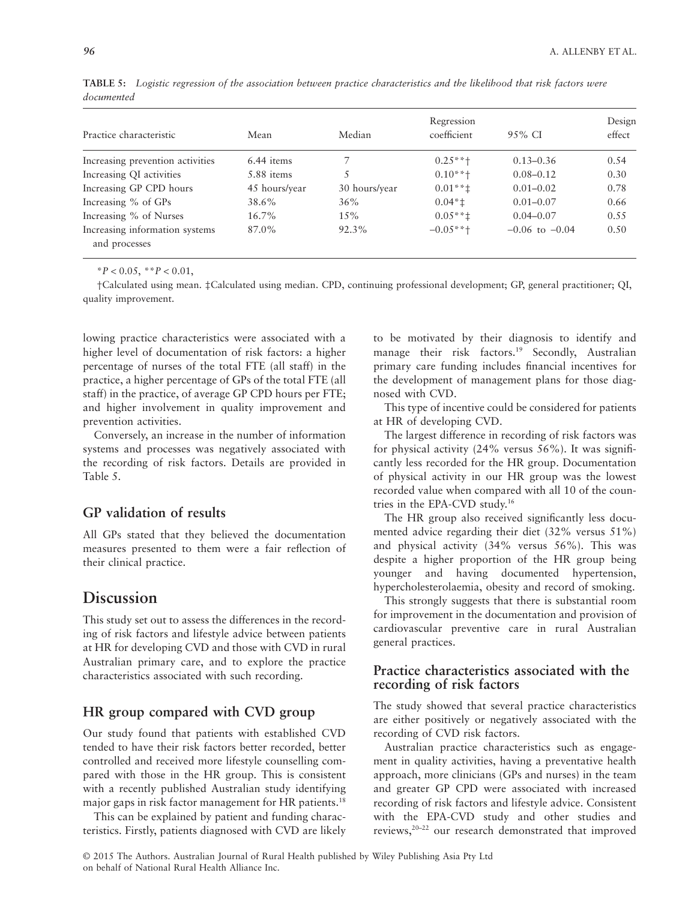|                                                 |               |               | Regression     |                    | Design |
|-------------------------------------------------|---------------|---------------|----------------|--------------------|--------|
| Practice characteristic                         | Mean          | Median        | coefficient    | 95% CI             | effect |
| Increasing prevention activities                | 6.44 items    |               | $0.25***$      | $0.13 - 0.36$      | 0.54   |
| Increasing QI activities                        | 5.88 items    |               | $0.10**$       | $0.08 - 0.12$      | 0.30   |
| Increasing GP CPD hours                         | 45 hours/year | 30 hours/year | $0.01**$ $\pm$ | $0.01 - 0.02$      | 0.78   |
| Increasing % of GPs                             | 38.6%         | $36\%$        | $0.04*$        | $0.01 - 0.07$      | 0.66   |
| Increasing % of Nurses                          | $16.7\%$      | 15%           | $0.05**+$      | $0.04 - 0.07$      | 0.55   |
| Increasing information systems<br>and processes | 87.0%         | 92.3%         | $-0.05**$ +    | $-0.06$ to $-0.04$ | 0.50   |

**TABLE 5:** *Logistic regression of the association between practice characteristics and the likelihood that risk factors were documented*

\**P* < 0.05, \*\**P* < 0.01,

†Calculated using mean. ‡Calculated using median. CPD, continuing professional development; GP, general practitioner; QI, quality improvement.

lowing practice characteristics were associated with a higher level of documentation of risk factors: a higher percentage of nurses of the total FTE (all staff) in the practice, a higher percentage of GPs of the total FTE (all staff) in the practice, of average GP CPD hours per FTE; and higher involvement in quality improvement and prevention activities.

Conversely, an increase in the number of information systems and processes was negatively associated with the recording of risk factors. Details are provided in Table 5.

# **GP validation of results**

All GPs stated that they believed the documentation measures presented to them were a fair reflection of their clinical practice.

# **Discussion**

This study set out to assess the differences in the recording of risk factors and lifestyle advice between patients at HR for developing CVD and those with CVD in rural Australian primary care, and to explore the practice characteristics associated with such recording.

# **HR group compared with CVD group**

Our study found that patients with established CVD tended to have their risk factors better recorded, better controlled and received more lifestyle counselling compared with those in the HR group. This is consistent with a recently published Australian study identifying major gaps in risk factor management for HR patients.<sup>18</sup>

This can be explained by patient and funding characteristics. Firstly, patients diagnosed with CVD are likely to be motivated by their diagnosis to identify and manage their risk factors.<sup>19</sup> Secondly, Australian primary care funding includes financial incentives for the development of management plans for those diagnosed with CVD.

This type of incentive could be considered for patients at HR of developing CVD.

The largest difference in recording of risk factors was for physical activity (24% versus 56%). It was significantly less recorded for the HR group. Documentation of physical activity in our HR group was the lowest recorded value when compared with all 10 of the countries in the EPA-CVD study.16

The HR group also received significantly less documented advice regarding their diet (32% versus 51%) and physical activity (34% versus 56%). This was despite a higher proportion of the HR group being younger and having documented hypertension, hypercholesterolaemia, obesity and record of smoking.

This strongly suggests that there is substantial room for improvement in the documentation and provision of cardiovascular preventive care in rural Australian general practices.

### **Practice characteristics associated with the recording of risk factors**

The study showed that several practice characteristics are either positively or negatively associated with the recording of CVD risk factors.

Australian practice characteristics such as engagement in quality activities, having a preventative health approach, more clinicians (GPs and nurses) in the team and greater GP CPD were associated with increased recording of risk factors and lifestyle advice. Consistent with the EPA-CVD study and other studies and reviews,20–22 our research demonstrated that improved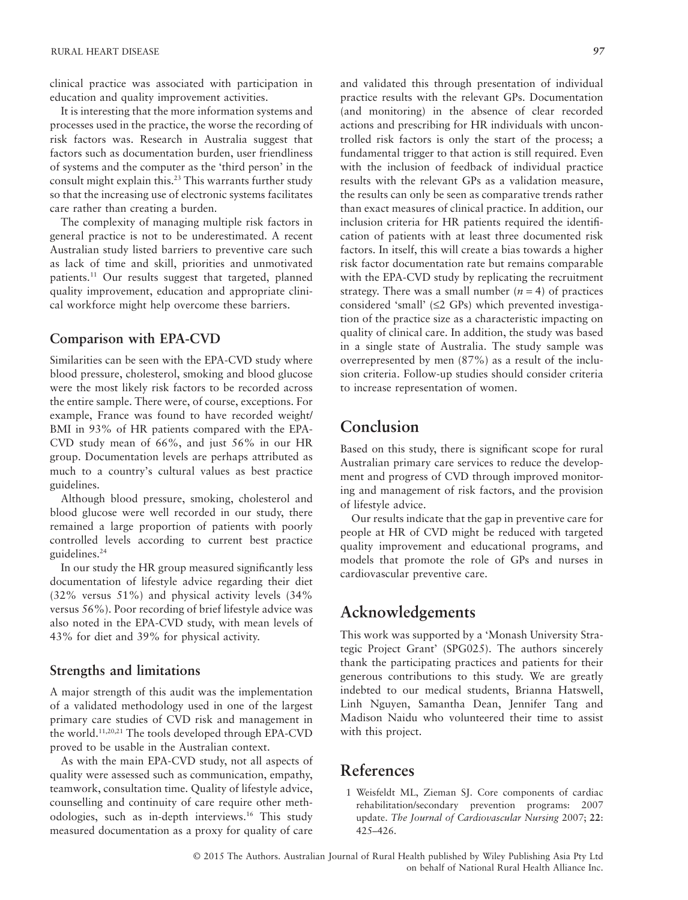clinical practice was associated with participation in education and quality improvement activities.

It is interesting that the more information systems and processes used in the practice, the worse the recording of risk factors was. Research in Australia suggest that factors such as documentation burden, user friendliness of systems and the computer as the 'third person' in the consult might explain this.<sup>23</sup> This warrants further study so that the increasing use of electronic systems facilitates care rather than creating a burden.

The complexity of managing multiple risk factors in general practice is not to be underestimated. A recent Australian study listed barriers to preventive care such as lack of time and skill, priorities and unmotivated patients.11 Our results suggest that targeted, planned quality improvement, education and appropriate clinical workforce might help overcome these barriers.

#### **Comparison with EPA-CVD**

Similarities can be seen with the EPA-CVD study where blood pressure, cholesterol, smoking and blood glucose were the most likely risk factors to be recorded across the entire sample. There were, of course, exceptions. For example, France was found to have recorded weight/ BMI in 93% of HR patients compared with the EPA-CVD study mean of 66%, and just 56% in our HR group. Documentation levels are perhaps attributed as much to a country's cultural values as best practice guidelines.

Although blood pressure, smoking, cholesterol and blood glucose were well recorded in our study, there remained a large proportion of patients with poorly controlled levels according to current best practice guidelines.24

In our study the HR group measured significantly less documentation of lifestyle advice regarding their diet (32% versus 51%) and physical activity levels (34% versus 56%). Poor recording of brief lifestyle advice was also noted in the EPA-CVD study, with mean levels of 43% for diet and 39% for physical activity.

#### **Strengths and limitations**

A major strength of this audit was the implementation of a validated methodology used in one of the largest primary care studies of CVD risk and management in the world.11,20,21 The tools developed through EPA-CVD proved to be usable in the Australian context.

As with the main EPA-CVD study, not all aspects of quality were assessed such as communication, empathy, teamwork, consultation time. Quality of lifestyle advice, counselling and continuity of care require other methodologies, such as in-depth interviews.<sup>16</sup> This study measured documentation as a proxy for quality of care

and validated this through presentation of individual practice results with the relevant GPs. Documentation (and monitoring) in the absence of clear recorded actions and prescribing for HR individuals with uncontrolled risk factors is only the start of the process; a fundamental trigger to that action is still required. Even with the inclusion of feedback of individual practice results with the relevant GPs as a validation measure, the results can only be seen as comparative trends rather than exact measures of clinical practice. In addition, our inclusion criteria for HR patients required the identification of patients with at least three documented risk factors. In itself, this will create a bias towards a higher risk factor documentation rate but remains comparable with the EPA-CVD study by replicating the recruitment strategy. There was a small number  $(n = 4)$  of practices considered 'small'  $(\leq 2 \text{ GPs})$  which prevented investigation of the practice size as a characteristic impacting on quality of clinical care. In addition, the study was based in a single state of Australia. The study sample was overrepresented by men (87%) as a result of the inclusion criteria. Follow-up studies should consider criteria to increase representation of women.

## **Conclusion**

Based on this study, there is significant scope for rural Australian primary care services to reduce the development and progress of CVD through improved monitoring and management of risk factors, and the provision of lifestyle advice.

Our results indicate that the gap in preventive care for people at HR of CVD might be reduced with targeted quality improvement and educational programs, and models that promote the role of GPs and nurses in cardiovascular preventive care.

# **Acknowledgements**

This work was supported by a 'Monash University Strategic Project Grant' (SPG025). The authors sincerely thank the participating practices and patients for their generous contributions to this study. We are greatly indebted to our medical students, Brianna Hatswell, Linh Nguyen, Samantha Dean, Jennifer Tang and Madison Naidu who volunteered their time to assist with this project.

## **References**

1 Weisfeldt ML, Zieman SJ. Core components of cardiac rehabilitation/secondary prevention programs: 2007 update. *The Journal of Cardiovascular Nursing* 2007; **22**: 425–426.